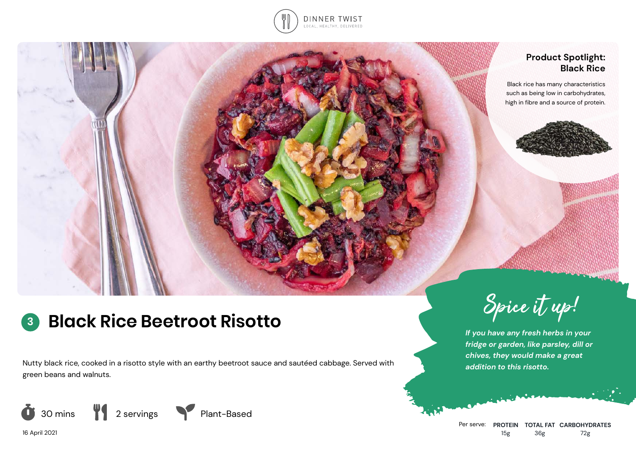

## **Product Spotlight: Black Rice**

Black rice has many characteristics such as being low in carbohydrates, high in fibre and a source of protein.



# **<sup>3</sup> Black Rice Beetroot Risotto**

Nutty black rice, cooked in a risotto style with an earthy beetroot sauce and sautéed cabbage. Served with green beans and walnuts.



Spice it up!

*If you have any fresh herbs in your fridge or garden, like parsley, dill or chives, they would make a great addition to this risotto.*

16 April 2021